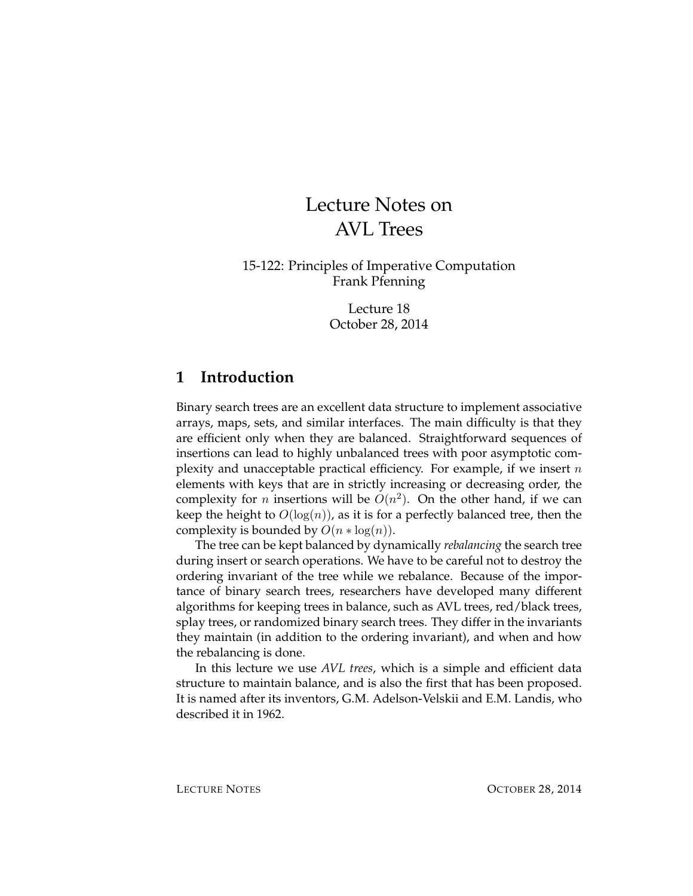# Lecture Notes on AVL Trees

15-122: Principles of Imperative Computation Frank Pfenning

> Lecture 18 October 28, 2014

### **1 Introduction**

Binary search trees are an excellent data structure to implement associative arrays, maps, sets, and similar interfaces. The main difficulty is that they are efficient only when they are balanced. Straightforward sequences of insertions can lead to highly unbalanced trees with poor asymptotic complexity and unacceptable practical efficiency. For example, if we insert  $n$ elements with keys that are in strictly increasing or decreasing order, the complexity for *n* insertions will be  $O(n^2)$ . On the other hand, if we can keep the height to  $O(log(n))$ , as it is for a perfectly balanced tree, then the complexity is bounded by  $O(n * log(n))$ .

The tree can be kept balanced by dynamically *rebalancing* the search tree during insert or search operations. We have to be careful not to destroy the ordering invariant of the tree while we rebalance. Because of the importance of binary search trees, researchers have developed many different algorithms for keeping trees in balance, such as AVL trees, red/black trees, splay trees, or randomized binary search trees. They differ in the invariants they maintain (in addition to the ordering invariant), and when and how the rebalancing is done.

In this lecture we use *AVL trees*, which is a simple and efficient data structure to maintain balance, and is also the first that has been proposed. It is named after its inventors, G.M. Adelson-Velskii and E.M. Landis, who described it in 1962.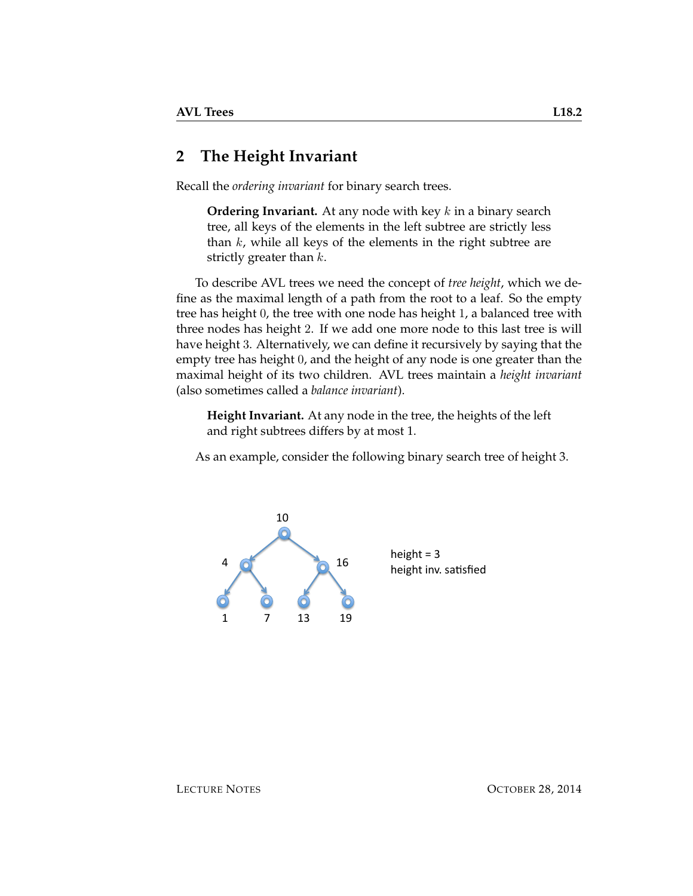### **2 The Height Invariant**

Recall the *ordering invariant* for binary search trees.

**Ordering Invariant.** At any node with key k in a binary search tree, all keys of the elements in the left subtree are strictly less than  $k$ , while all keys of the elements in the right subtree are strictly greater than  $k$ .

To describe AVL trees we need the concept of *tree height*, which we define as the maximal length of a path from the root to a leaf. So the empty tree has height 0, the tree with one node has height 1, a balanced tree with three nodes has height 2. If we add one more node to this last tree is will have height 3. Alternatively, we can define it recursively by saying that the empty tree has height 0, and the height of any node is one greater than the maximal height of its two children. AVL trees maintain a *height invariant* (also sometimes called a *balance invariant*).

**Height Invariant.** At any node in the tree, the heights of the left and right subtrees differs by at most 1.

As an example, consider the following binary search tree of height 3.



height =  $3$ height inv. satisfied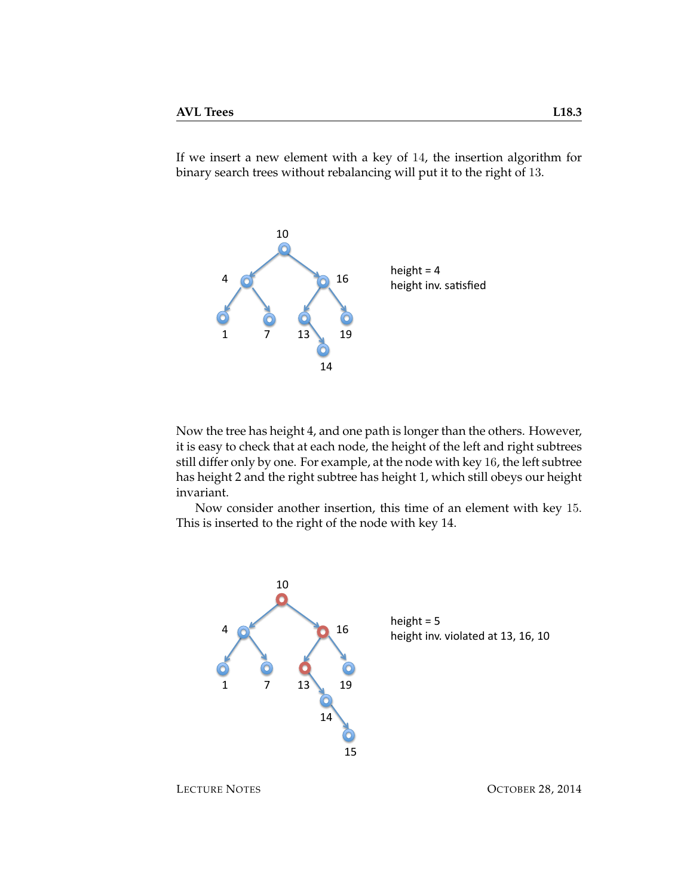If we insert a new element with a key of 14, the insertion algorithm for binary search trees without rebalancing will put it to the right of 13.



Now the tree has height 4, and one path is longer than the others. However, it is easy to check that at each node, the height of the left and right subtrees still differ only by one. For example, at the node with key 16, the left subtree has height 2 and the right subtree has height 1, which still obeys our height invariant.

Now consider another insertion, this time of an element with key 15. This is inserted to the right of the node with key 14.

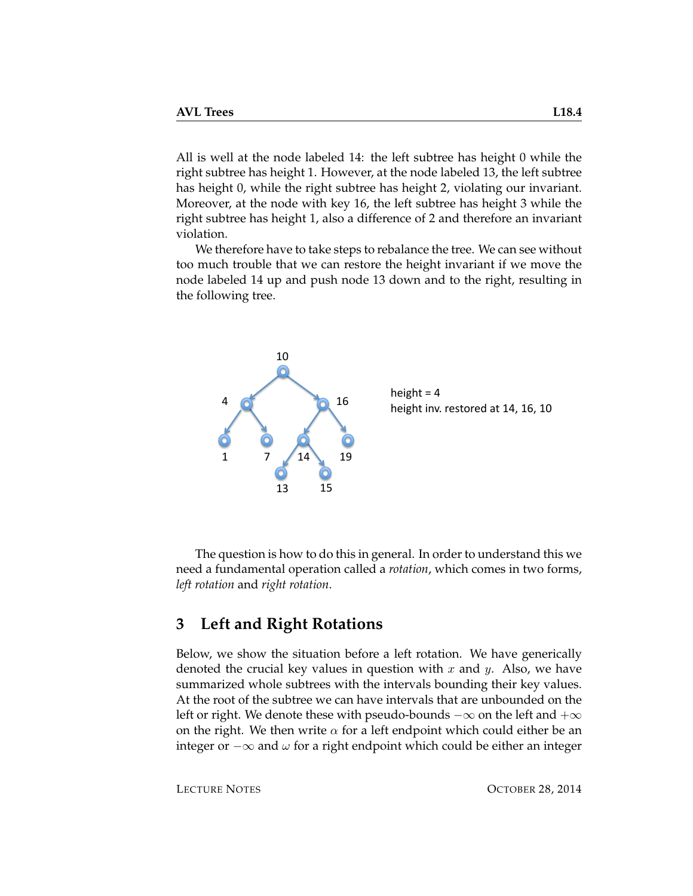All is well at the node labeled 14: the left subtree has height 0 while the right subtree has height 1. However, at the node labeled 13, the left subtree has height 0, while the right subtree has height 2, violating our invariant. Moreover, at the node with key 16, the left subtree has height 3 while the right subtree has height 1, also a difference of 2 and therefore an invariant violation.

We therefore have to take steps to rebalance the tree. We can see without too much trouble that we can restore the height invariant if we move the node labeled 14 up and push node 13 down and to the right, resulting in the following tree.



The question is how to do this in general. In order to understand this we need a fundamental operation called a *rotation*, which comes in two forms, *left rotation* and *right rotation*.

## **3 Left and Right Rotations**

Below, we show the situation before a left rotation. We have generically denoted the crucial key values in question with  $x$  and  $y$ . Also, we have summarized whole subtrees with the intervals bounding their key values. At the root of the subtree we can have intervals that are unbounded on the left or right. We denote these with pseudo-bounds  $-\infty$  on the left and  $+\infty$ on the right. We then write  $\alpha$  for a left endpoint which could either be an integer or  $-\infty$  and  $ω$  for a right endpoint which could be either an integer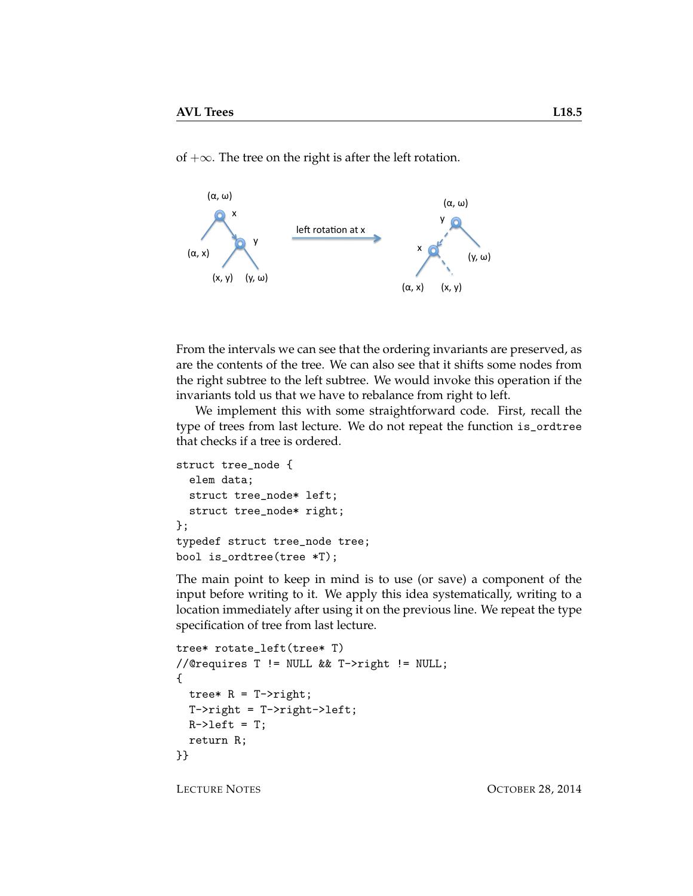of  $+\infty$ . The tree on the right is after the left rotation.



From the intervals we can see that the ordering invariants are preserved, as are the contents of the tree. We can also see that it shifts some nodes from the right subtree to the left subtree. We would invoke this operation if the invariants told us that we have to rebalance from right to left.

We implement this with some straightforward code. First, recall the type of trees from last lecture. We do not repeat the function is\_ordtree that checks if a tree is ordered.

```
struct tree_node {
  elem data;
  struct tree_node* left;
  struct tree_node* right;
};
typedef struct tree_node tree;
bool is_ordtree(tree *T);
```
The main point to keep in mind is to use (or save) a component of the input before writing to it. We apply this idea systematically, writing to a location immediately after using it on the previous line. We repeat the type specification of tree from last lecture.

```
tree* rotate_left(tree* T)
//@requires T != NULL && T->right != NULL;
{
 tree* R = T->right;
 T->right = T->right->left;
 R->left = T;return R;
}}
```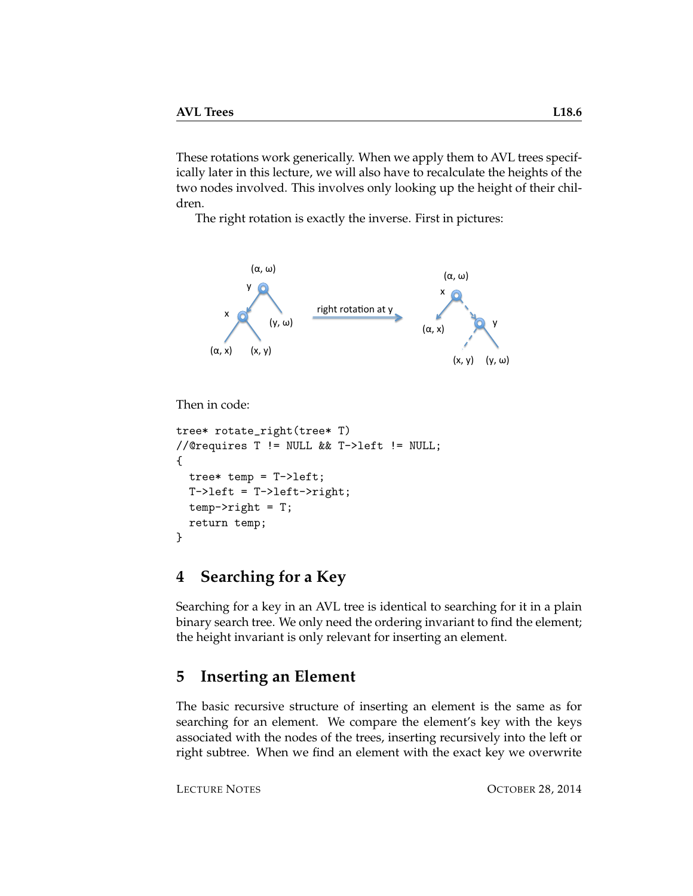These rotations work generically. When we apply them to AVL trees specifically later in this lecture, we will also have to recalculate the heights of the two nodes involved. This involves only looking up the height of their children.

The right rotation is exactly the inverse. First in pictures:



```
Then in code:
```

```
tree* rotate_right(tree* T)
//@requires T != NULL && T->left != NULL;
{
 tree* temp = T-\lambdaleft;
 T->left = T->left->right;
  temp->right = T;
  return temp;
}
```
## **4 Searching for a Key**

Searching for a key in an AVL tree is identical to searching for it in a plain binary search tree. We only need the ordering invariant to find the element; the height invariant is only relevant for inserting an element.

## <span id="page-5-0"></span>**5 Inserting an Element**

The basic recursive structure of inserting an element is the same as for searching for an element. We compare the element's key with the keys associated with the nodes of the trees, inserting recursively into the left or right subtree. When we find an element with the exact key we overwrite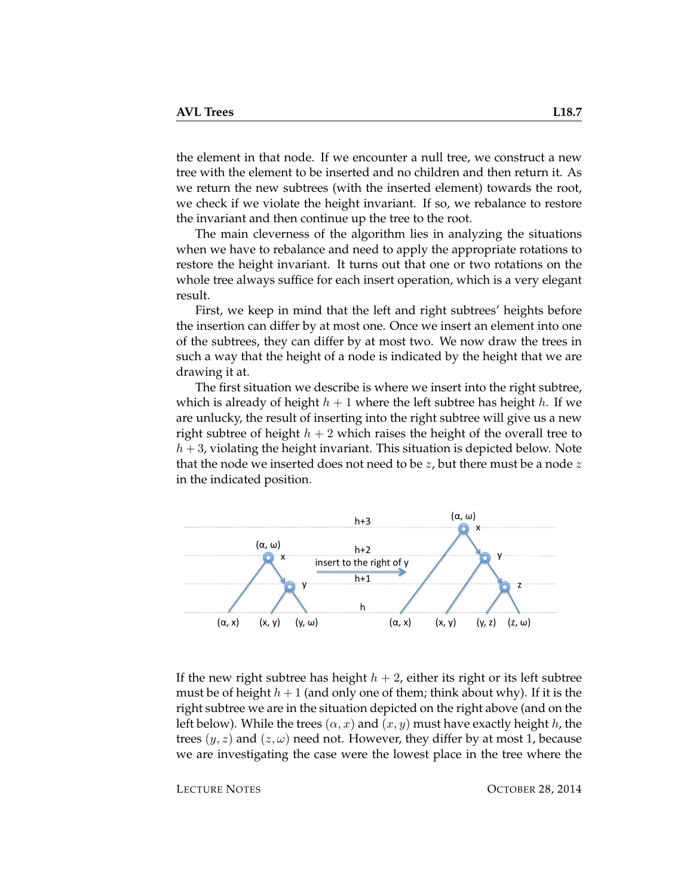the element in that node. If we encounter a null tree, we construct a new tree with the element to be inserted and no children and then return it. As we return the new subtrees (with the inserted element) towards the root, we check if we violate the height invariant. If so, we rebalance to restore the invariant and then continue up the tree to the root.

The main cleverness of the algorithm lies in analyzing the situations when we have to rebalance and need to apply the appropriate rotations to restore the height invariant. It turns out that one or two rotations on the whole tree always suffice for each insert operation, which is a very elegant result.

First, we keep in mind that the left and right subtrees' heights before the insertion can differ by at most one. Once we insert an element into one of the subtrees, they can differ by at most two. We now draw the trees in such a way that the height of a node is indicated by the height that we are drawing it at.

The first situation we describe is where we insert into the right subtree, which is already of height  $h + 1$  where the left subtree has height h. If we are unlucky, the result of inserting into the right subtree will give us a new right subtree of height  $h + 2$  which raises the height of the overall tree to  $h + 3$ , violating the height invariant. This situation is depicted below. Note that the node we inserted does not need to be  $z$ , but there must be a node  $z$ in the indicated position.



If the new right subtree has height  $h + 2$ , either its right or its left subtree must be of height  $h+1$  (and only one of them; think about why). If it is the right subtree we are in the situation depicted on the right above (and on the left below). While the trees  $(\alpha, x)$  and  $(x, y)$  must have exactly height h, the trees  $(y, z)$  and  $(z, \omega)$  need not. However, they differ by at most 1, because we are investigating the case were the lowest place in the tree where the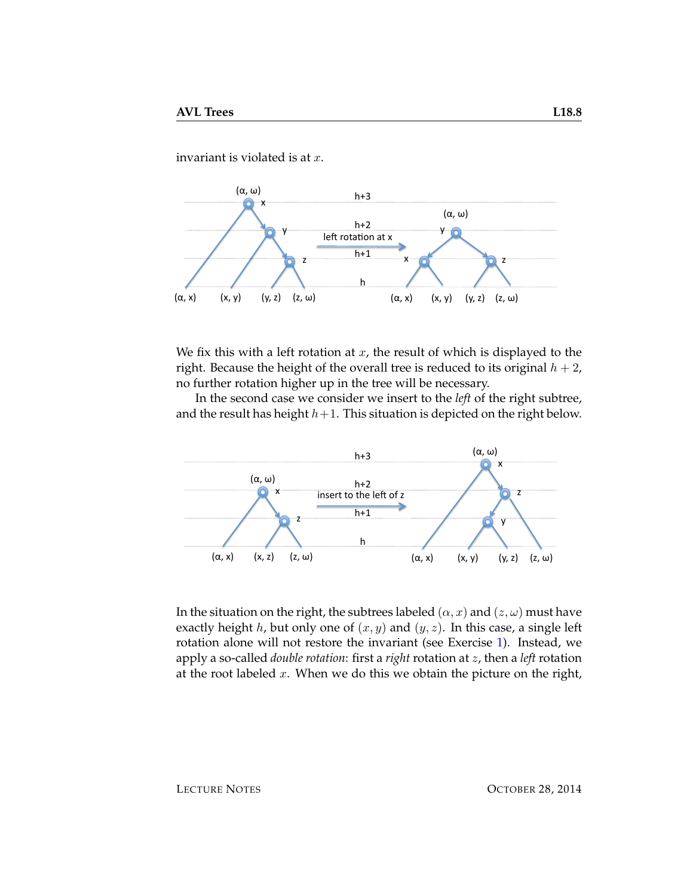invariant is violated is at  $x$ .



We fix this with a left rotation at  $x$ , the result of which is displayed to the right. Because the height of the overall tree is reduced to its original  $h + 2$ , no further rotation higher up in the tree will be necessary.

In the second case we consider we insert to the *left* of the right subtree, and the result has height  $h+1$ . This situation is depicted on the right below.



In the situation on the right, the subtrees labeled  $(\alpha, x)$  and  $(z, \omega)$  must have exactly height h, but only one of  $(x, y)$  and  $(y, z)$ . In this case, a single left rotation alone will not restore the invariant (see Exercise [1\)](#page-14-0). Instead, we apply a so-called *double rotation*: first a *right* rotation at z, then a *left* rotation at the root labeled  $x$ . When we do this we obtain the picture on the right,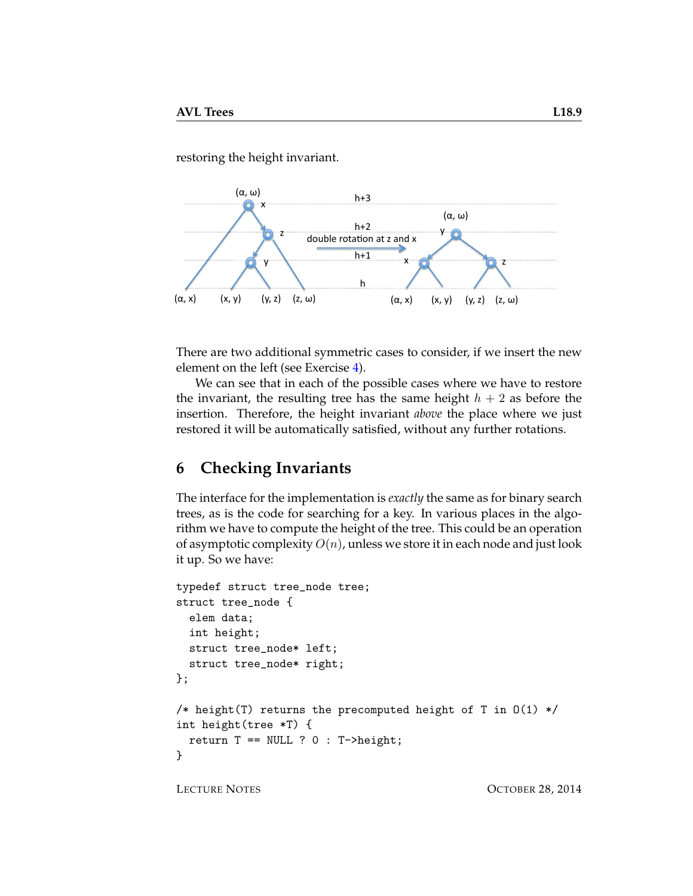restoring the height invariant.



There are two additional symmetric cases to consider, if we insert the new element on the left (see Exercise [4\)](#page-14-1).

We can see that in each of the possible cases where we have to restore the invariant, the resulting tree has the same height  $h + 2$  as before the insertion. Therefore, the height invariant *above* the place where we just restored it will be automatically satisfied, without any further rotations.

## **6 Checking Invariants**

The interface for the implementation is *exactly* the same as for binary search trees, as is the code for searching for a key. In various places in the algorithm we have to compute the height of the tree. This could be an operation of asymptotic complexity  $O(n)$ , unless we store it in each node and just look it up. So we have:

```
typedef struct tree_node tree;
struct tree_node {
  elem data;
  int height;
  struct tree_node* left;
  struct tree_node* right;
};
/* height(T) returns the precomputed height of T in O(1) */
int height(tree *T) {
  return T == NULL ? 0 : T->height;}
```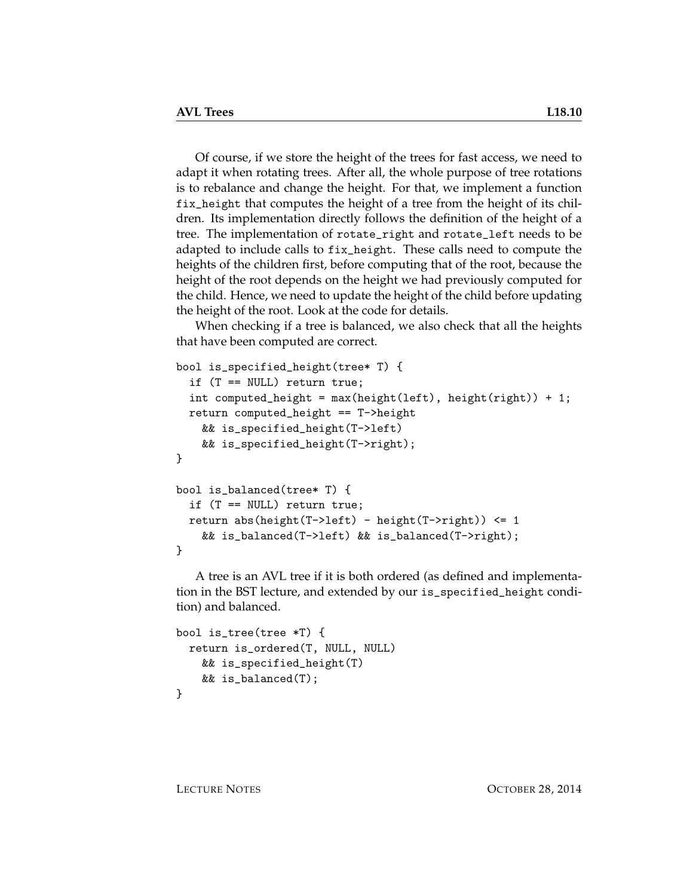Of course, if we store the height of the trees for fast access, we need to adapt it when rotating trees. After all, the whole purpose of tree rotations is to rebalance and change the height. For that, we implement a function fix\_height that computes the height of a tree from the height of its children. Its implementation directly follows the definition of the height of a tree. The implementation of rotate\_right and rotate\_left needs to be adapted to include calls to fix\_height. These calls need to compute the heights of the children first, before computing that of the root, because the height of the root depends on the height we had previously computed for the child. Hence, we need to update the height of the child before updating the height of the root. Look at the code for details.

When checking if a tree is balanced, we also check that all the heights that have been computed are correct.

```
bool is_specified_height(tree* T) {
  if (T == NULL) return true;
  int computed_height = max(height(left), height(right)) + 1;
  return computed_height == T->height
   && is_specified_height(T->left)
   && is_specified_height(T->right);
}
bool is_balanced(tree* T) {
  if (T == NULL) return true;
  return abs(height(T->left) - height(T->right)) <= 1
   && is_balanced(T->left) && is_balanced(T->right);
}
```
A tree is an AVL tree if it is both ordered (as defined and implementation in the BST lecture, and extended by our is\_specified\_height condition) and balanced.

```
bool is_tree(tree *T) {
 return is_ordered(T, NULL, NULL)
   && is_specified_height(T)
   && is_balanced(T);
}
```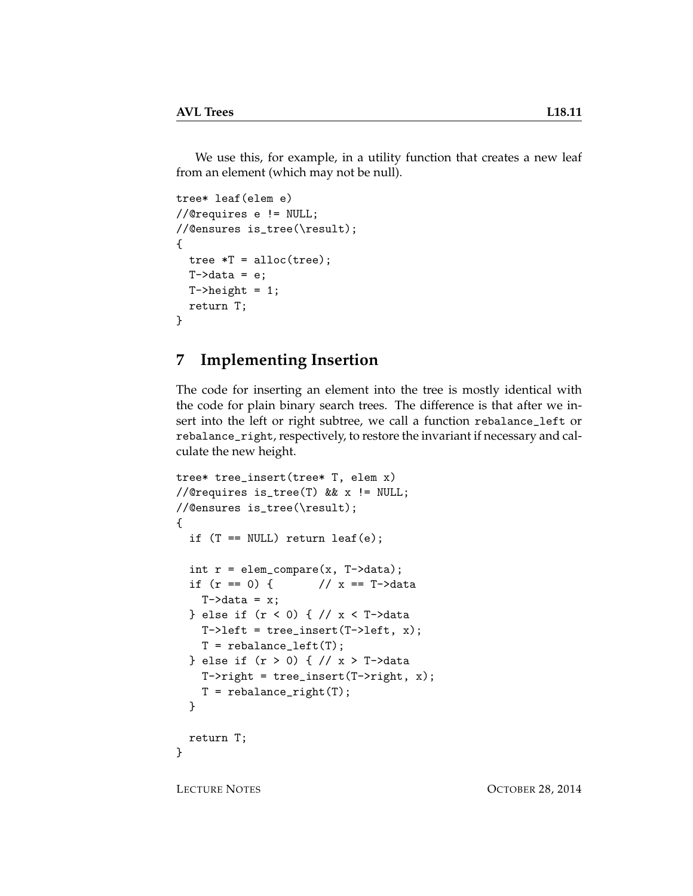We use this, for example, in a utility function that creates a new leaf from an element (which may not be null).

```
tree* leaf(elem e)
//@requires e != NULL;
//@ensures is_tree(\result);
{
  tree *T = alloc(tree);
  T-\lambda data = e;
  T->height = 1;
  return T;
}
```
## **7 Implementing Insertion**

The code for inserting an element into the tree is mostly identical with the code for plain binary search trees. The difference is that after we insert into the left or right subtree, we call a function rebalance\_left or rebalance\_right, respectively, to restore the invariant if necessary and calculate the new height.

```
tree* tree_insert(tree* T, elem x)
//@requires is_tree(T) && x != NULL;
//@ensures is_tree(\result);
{
  if (T == NULL) return leaf(e);
  int r = element_{compare}(x, T-\lambda)if (r == 0) { // x == T-\lambda dataT-\lambda dx = x;} else if (r < 0) { // x < T->data
    T-\lambdaleft = tree_insert(T-\lambdaleft, x);
    T = rebalance_left(T);
  } else if (r > 0) { // x > T->data
    T\rightarrowright = tree_insert(T->right, x);
    T = rebalance_right(T);
  }
  return T;
}
```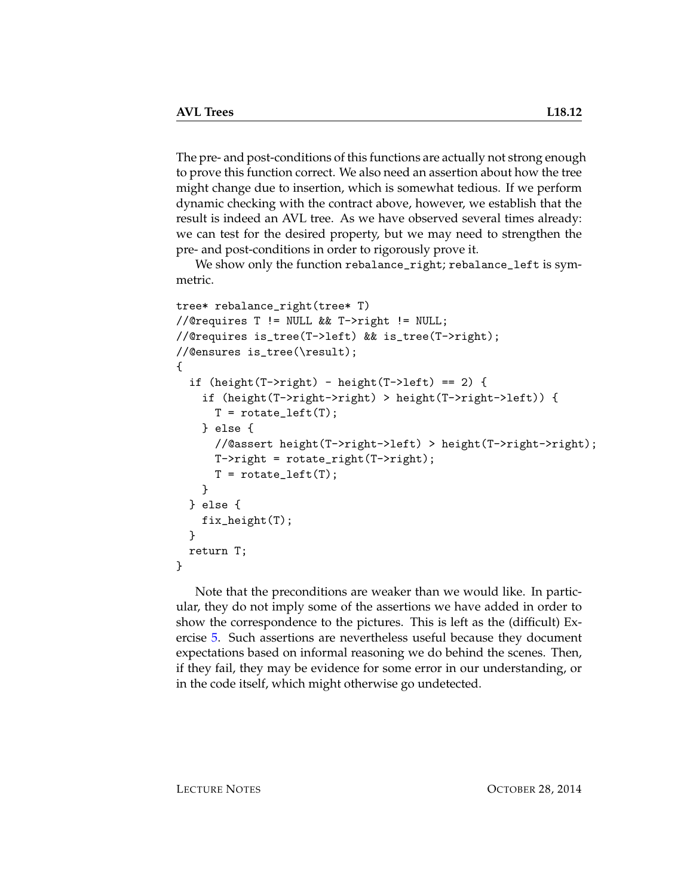The pre- and post-conditions of this functions are actually not strong enough to prove this function correct. We also need an assertion about how the tree might change due to insertion, which is somewhat tedious. If we perform dynamic checking with the contract above, however, we establish that the result is indeed an AVL tree. As we have observed several times already: we can test for the desired property, but we may need to strengthen the pre- and post-conditions in order to rigorously prove it.

We show only the function rebalance\_right; rebalance\_left is symmetric.

```
tree* rebalance_right(tree* T)
//@requires T != NULL && T->right != NULL;
//@requires is_tree(T->left) && is_tree(T->right);
//@ensures is_tree(\result);
{
  if (height(T->right) - height(T->left) == 2) {
    if (height(T->right->right) > height(T->right->left)) {
      T = \text{rotate} \text{left}(T);
    } else {
      //@assert height(T->right->left) > height(T->right->right);
      T->right = rotate_right(T->right);
      T = \text{rotate} [eft(T);
    }
  } else {
    fix_height(T);
  }
 return T;
}
```
Note that the preconditions are weaker than we would like. In particular, they do not imply some of the assertions we have added in order to show the correspondence to the pictures. This is left as the (difficult) Exercise [5.](#page-14-2) Such assertions are nevertheless useful because they document expectations based on informal reasoning we do behind the scenes. Then, if they fail, they may be evidence for some error in our understanding, or in the code itself, which might otherwise go undetected.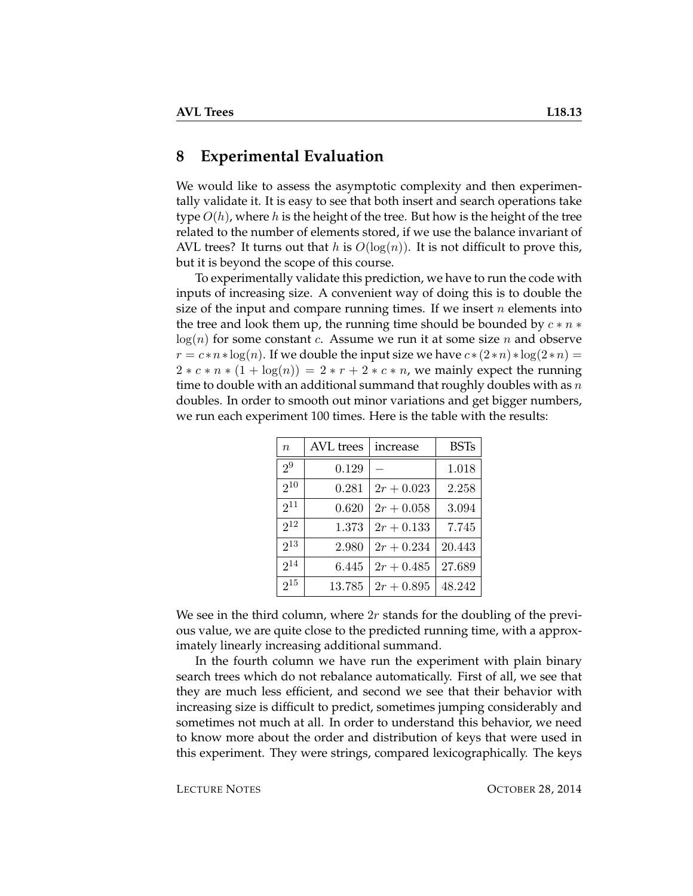#### **8 Experimental Evaluation**

We would like to assess the asymptotic complexity and then experimentally validate it. It is easy to see that both insert and search operations take type  $O(h)$ , where h is the height of the tree. But how is the height of the tree related to the number of elements stored, if we use the balance invariant of AVL trees? It turns out that h is  $O(log(n))$ . It is not difficult to prove this, but it is beyond the scope of this course.

To experimentally validate this prediction, we have to run the code with inputs of increasing size. A convenient way of doing this is to double the size of the input and compare running times. If we insert  $n$  elements into the tree and look them up, the running time should be bounded by  $c * n *$  $log(n)$  for some constant c. Assume we run it at some size n and observe  $r = c * n * log(n)$ . If we double the input size we have  $c * (2 * n) * log(2 * n) =$  $2 \times c \times n \times (1 + \log(n)) = 2 \times r + 2 \times c \times n$ , we mainly expect the running time to double with an additional summand that roughly doubles with as  $n$ doubles. In order to smooth out minor variations and get bigger numbers, we run each experiment 100 times. Here is the table with the results:

| $\boldsymbol{n}$ | AVL trees | increase     | <b>BSTs</b> |
|------------------|-----------|--------------|-------------|
| 2 <sup>9</sup>   | 0.129     |              | 1.018       |
| $2^{10}$         | 0.281     | $2r + 0.023$ | 2.258       |
| $2^{11}$         | 0.620     | $2r + 0.058$ | 3.094       |
| $2^{12}$         | 1.373     | $2r + 0.133$ | 7.745       |
| $2^{13}$         | 2.980     | $2r + 0.234$ | 20.443      |
| $2^{14}$         | 6.445     | $2r + 0.485$ | 27.689      |
| $2^{15}$         | 13.785    | $2r + 0.895$ | 48.242      |

We see in the third column, where  $2r$  stands for the doubling of the previous value, we are quite close to the predicted running time, with a approximately linearly increasing additional summand.

In the fourth column we have run the experiment with plain binary search trees which do not rebalance automatically. First of all, we see that they are much less efficient, and second we see that their behavior with increasing size is difficult to predict, sometimes jumping considerably and sometimes not much at all. In order to understand this behavior, we need to know more about the order and distribution of keys that were used in this experiment. They were strings, compared lexicographically. The keys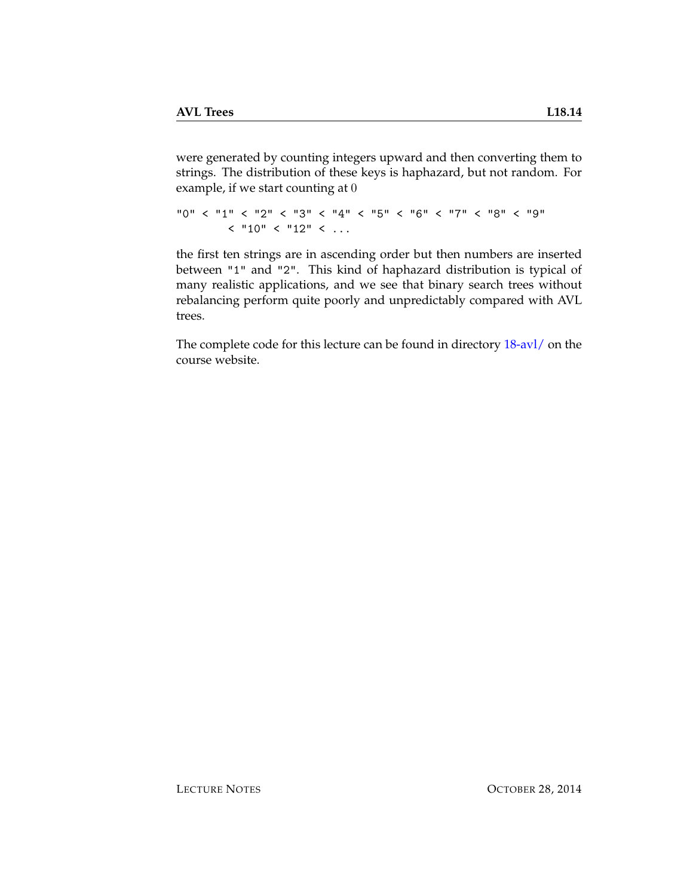were generated by counting integers upward and then converting them to strings. The distribution of these keys is haphazard, but not random. For example, if we start counting at 0

```
"0" < "1" < "2" < "3" < "4" < "5" < "6" < "7" < "8" < "9"
       < "10" < "12" < ...
```
the first ten strings are in ascending order but then numbers are inserted between "1" and "2". This kind of haphazard distribution is typical of many realistic applications, and we see that binary search trees without rebalancing perform quite poorly and unpredictably compared with AVL trees.

The complete code for this lecture can be found in directory [18-avl/](http://www.cs.cmu.edu/~rjsimmon/15122-f14/18-avl/) on the course website.